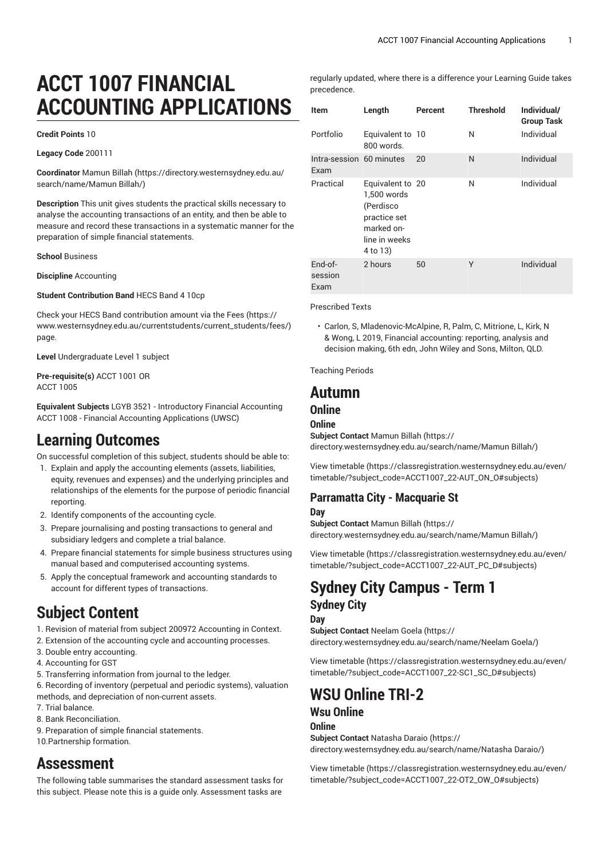# **ACCT 1007 FINANCIAL ACCOUNTING APPLICATIONS**

#### **Credit Points** 10

**Legacy Code** 200111

**Coordinator** [Mamun Billah](https://directory.westernsydney.edu.au/search/name/Mamun Billah/) ([https://directory.westernsydney.edu.au/](https://directory.westernsydney.edu.au/search/name/Mamun Billah/) [search/name/Mamun](https://directory.westernsydney.edu.au/search/name/Mamun Billah/) Billah/)

**Description** This unit gives students the practical skills necessary to analyse the accounting transactions of an entity, and then be able to measure and record these transactions in a systematic manner for the preparation of simple financial statements.

**School** Business

**Discipline** Accounting

**Student Contribution Band** HECS Band 4 10cp

Check your HECS Band contribution amount via the [Fees \(https://](https://www.westernsydney.edu.au/currentstudents/current_students/fees/) [www.westernsydney.edu.au/currentstudents/current\\_students/fees/\)](https://www.westernsydney.edu.au/currentstudents/current_students/fees/) page.

**Level** Undergraduate Level 1 subject

**Pre-requisite(s)** [ACCT](/search/?P=ACCT%201001) 1001 OR [ACCT](/search/?P=ACCT%201005) 1005

**Equivalent Subjects** LGYB 3521 - Introductory Financial Accounting [ACCT](/search/?P=ACCT%201008) 1008 - Financial Accounting Applications (UWSC)

## **Learning Outcomes**

On successful completion of this subject, students should be able to:

- 1. Explain and apply the accounting elements (assets, liabilities, equity, revenues and expenses) and the underlying principles and relationships of the elements for the purpose of periodic financial reporting.
- 2. Identify components of the accounting cycle.
- 3. Prepare journalising and posting transactions to general and subsidiary ledgers and complete a trial balance.
- 4. Prepare financial statements for simple business structures using manual based and computerised accounting systems.
- 5. Apply the conceptual framework and accounting standards to account for different types of transactions.

## **Subject Content**

1. Revision of material from subject 200972 Accounting in Context.

- 2. Extension of the accounting cycle and accounting processes.
- 3. Double entry accounting.
- 4. Accounting for GST
- 5. Transferring information from journal to the ledger.

6. Recording of inventory (perpetual and periodic systems), valuation methods, and depreciation of non-current assets.

- 7. Trial balance.
- 8. Bank Reconciliation.

9. Preparation of simple financial statements.

10.Partnership formation.

## **Assessment**

The following table summarises the standard assessment tasks for this subject. Please note this is a guide only. Assessment tasks are

regularly updated, where there is a difference your Learning Guide takes precedence.

| Item                             | Length                                                                                                  | Percent | <b>Threshold</b> | Individual/<br><b>Group Task</b> |
|----------------------------------|---------------------------------------------------------------------------------------------------------|---------|------------------|----------------------------------|
| Portfolio                        | Equivalent to 10<br>800 words.                                                                          |         | N                | Individual                       |
| Intra-session 60 minutes<br>Exam |                                                                                                         | 20      | N                | Individual                       |
| Practical                        | Equivalent to 20<br>1,500 words<br>(Perdisco<br>practice set<br>marked on-<br>line in weeks<br>4 to 13) |         | N                | Individual                       |
| End-of-<br>session<br>Exam       | 2 hours                                                                                                 | 50      | Υ                | Individual                       |

Prescribed Texts

• Carlon, S, Mladenovic-McAlpine, R, Palm, C, Mitrione, L, Kirk, N & Wong, L 2019, Financial accounting: reporting, analysis and decision making, 6th edn, John Wiley and Sons, Milton, QLD.

Teaching Periods

## **Autumn**

### **Online**

**Online**

**Subject Contact** [Mamun Billah](https://directory.westernsydney.edu.au/search/name/Mamun Billah/) ([https://](https://directory.westernsydney.edu.au/search/name/Mamun Billah/) [directory.westernsydney.edu.au/search/name/Mamun](https://directory.westernsydney.edu.au/search/name/Mamun Billah/) Billah/)

[View timetable](https://classregistration.westernsydney.edu.au/even/timetable/?subject_code=ACCT1007_22-AUT_ON_O#subjects) [\(https://classregistration.westernsydney.edu.au/even/](https://classregistration.westernsydney.edu.au/even/timetable/?subject_code=ACCT1007_22-AUT_ON_O#subjects) [timetable/?subject\\_code=ACCT1007\\_22-AUT\\_ON\\_O#subjects\)](https://classregistration.westernsydney.edu.au/even/timetable/?subject_code=ACCT1007_22-AUT_ON_O#subjects)

## **Parramatta City - Macquarie St**

#### **Day**

**Subject Contact** [Mamun Billah](https://directory.westernsydney.edu.au/search/name/Mamun Billah/) ([https://](https://directory.westernsydney.edu.au/search/name/Mamun Billah/) [directory.westernsydney.edu.au/search/name/Mamun](https://directory.westernsydney.edu.au/search/name/Mamun Billah/) Billah/)

[View timetable](https://classregistration.westernsydney.edu.au/even/timetable/?subject_code=ACCT1007_22-AUT_PC_D#subjects) [\(https://classregistration.westernsydney.edu.au/even/](https://classregistration.westernsydney.edu.au/even/timetable/?subject_code=ACCT1007_22-AUT_PC_D#subjects) [timetable/?subject\\_code=ACCT1007\\_22-AUT\\_PC\\_D#subjects\)](https://classregistration.westernsydney.edu.au/even/timetable/?subject_code=ACCT1007_22-AUT_PC_D#subjects)

## **Sydney City Campus - Term 1 Sydney City**

#### **Day**

**Subject Contact** [Neelam Goela \(https://](https://directory.westernsydney.edu.au/search/name/Neelam Goela/) [directory.westernsydney.edu.au/search/name/Neelam](https://directory.westernsydney.edu.au/search/name/Neelam Goela/) Goela/)

[View timetable](https://classregistration.westernsydney.edu.au/even/timetable/?subject_code=ACCT1007_22-SC1_SC_D#subjects) [\(https://classregistration.westernsydney.edu.au/even/](https://classregistration.westernsydney.edu.au/even/timetable/?subject_code=ACCT1007_22-SC1_SC_D#subjects) [timetable/?subject\\_code=ACCT1007\\_22-SC1\\_SC\\_D#subjects\)](https://classregistration.westernsydney.edu.au/even/timetable/?subject_code=ACCT1007_22-SC1_SC_D#subjects)

## **WSU Online TRI-2**

### **Wsu Online**

### **Online**

**Subject Contact** [Natasha Daraio](https://directory.westernsydney.edu.au/search/name/Natasha Daraio/) [\(https://](https://directory.westernsydney.edu.au/search/name/Natasha Daraio/) [directory.westernsydney.edu.au/search/name/Natasha](https://directory.westernsydney.edu.au/search/name/Natasha Daraio/) Daraio/)

[View timetable](https://classregistration.westernsydney.edu.au/even/timetable/?subject_code=ACCT1007_22-OT2_OW_O#subjects) [\(https://classregistration.westernsydney.edu.au/even/](https://classregistration.westernsydney.edu.au/even/timetable/?subject_code=ACCT1007_22-OT2_OW_O#subjects) [timetable/?subject\\_code=ACCT1007\\_22-OT2\\_OW\\_O#subjects\)](https://classregistration.westernsydney.edu.au/even/timetable/?subject_code=ACCT1007_22-OT2_OW_O#subjects)